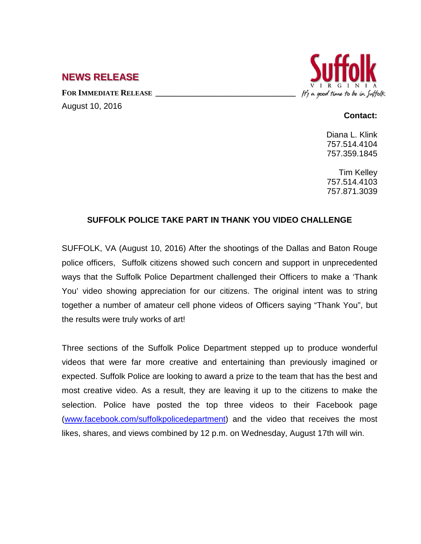## **NEWS RELEASE**

FOR IMMEDIATE RELEASE August 10, 2016



## **Contact:**

Diana L. Klink 757.514.4104 757.359.1845

Tim Kelley 757.514.4103 757.871.3039

## **SUFFOLK POLICE TAKE PART IN THANK YOU VIDEO CHALLENGE**

SUFFOLK, VA (August 10, 2016) After the shootings of the Dallas and Baton Rouge police officers, Suffolk citizens showed such concern and support in unprecedented ways that the Suffolk Police Department challenged their Officers to make a 'Thank You' video showing appreciation for our citizens. The original intent was to string together a number of amateur cell phone videos of Officers saying "Thank You", but the results were truly works of art!

Three sections of the Suffolk Police Department stepped up to produce wonderful videos that were far more creative and entertaining than previously imagined or expected. Suffolk Police are looking to award a prize to the team that has the best and most creative video. As a result, they are leaving it up to the citizens to make the selection. Police have posted the top three videos to their Facebook page [\(www.facebook.com/suffolkpolicedepartment\)](http://www.facebook.com/suffolkpolicedepartment) and the video that receives the most likes, shares, and views combined by 12 p.m. on Wednesday, August 17th will win.